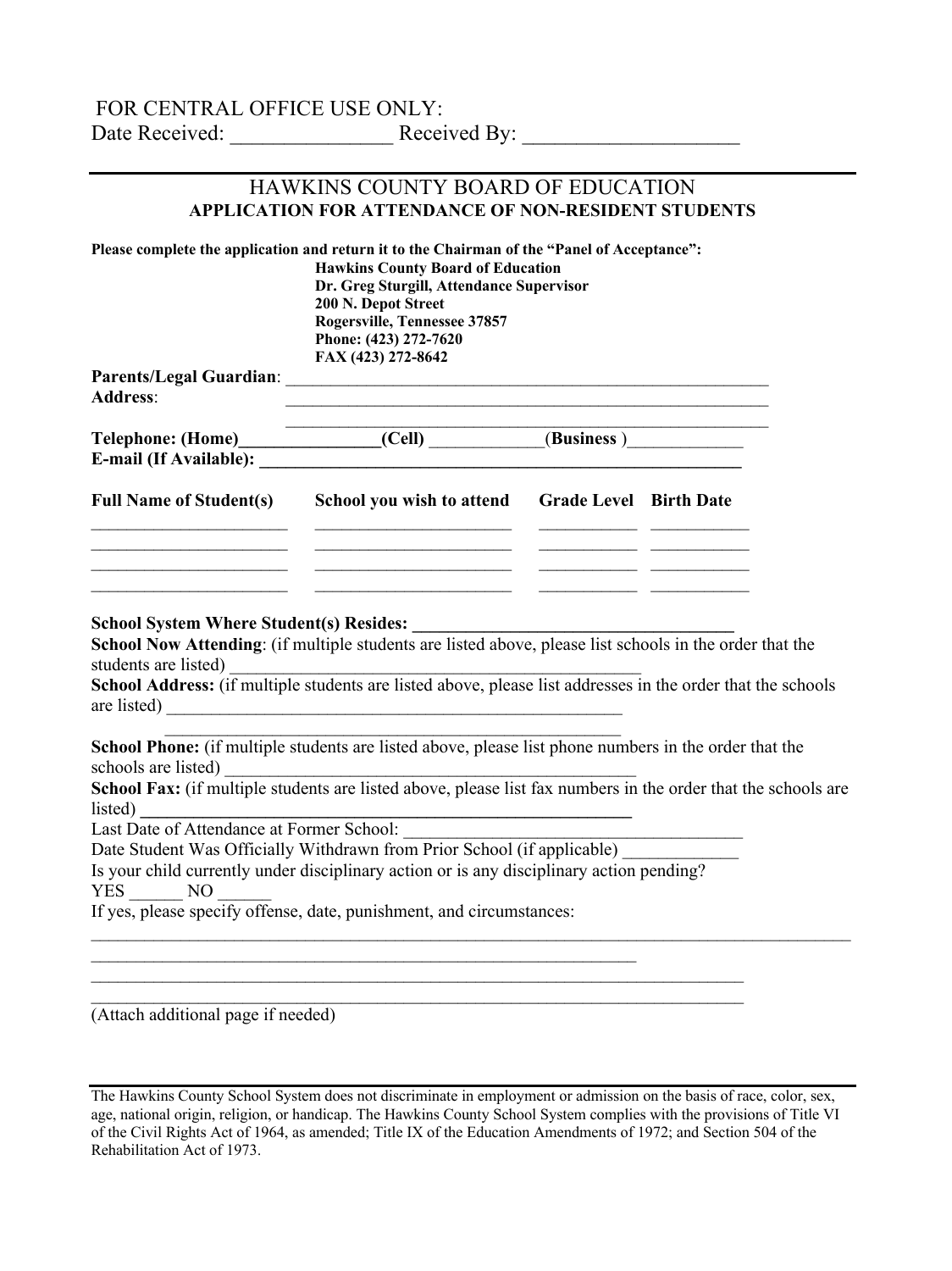## FOR CENTRAL OFFICE USE ONLY: Date Received: \_\_\_\_\_\_\_\_\_\_\_\_\_\_\_ Received By: \_\_\_\_\_\_\_\_\_\_\_\_\_\_\_\_\_\_\_\_

## HAWKINS COUNTY BOARD OF EDUCATION **APPLICATION FOR ATTENDANCE OF NON-RESIDENT STUDENTS**

|                                                                        | Please complete the application and return it to the Chairman of the "Panel of Acceptance":<br><b>Hawkins County Board of Education</b><br>Dr. Greg Sturgill, Attendance Supervisor<br>200 N. Depot Street<br>Rogersville, Tennessee 37857<br>Phone: (423) 272-7620<br>FAX (423) 272-8642                        |                               |  |  |
|------------------------------------------------------------------------|------------------------------------------------------------------------------------------------------------------------------------------------------------------------------------------------------------------------------------------------------------------------------------------------------------------|-------------------------------|--|--|
| <b>Address:</b>                                                        |                                                                                                                                                                                                                                                                                                                  |                               |  |  |
|                                                                        | Telephone: (Home)_________________(Cell) ____________(Business )________________                                                                                                                                                                                                                                 |                               |  |  |
| <b>Full Name of Student(s)</b>                                         | School you wish to attend                                                                                                                                                                                                                                                                                        | <b>Grade Level Birth Date</b> |  |  |
| <b>School System Where Student(s) Resides:</b><br>students are listed) | <u> 1989 - Johann Barbara, martin amerikan basar da</u><br>School Now Attending: (if multiple students are listed above, please list schools in the order that the<br>School Address: (if multiple students are listed above, please list addresses in the order that the schools<br>are listed) $\qquad \qquad$ |                               |  |  |
| schools are listed)                                                    | School Phone: (if multiple students are listed above, please list phone numbers in the order that the<br>schools are listed)<br>School Fax: (if multiple students are listed above, please list fax numbers in the order that the schools are                                                                    |                               |  |  |
| listed)                                                                |                                                                                                                                                                                                                                                                                                                  |                               |  |  |
| Last Date of Attendance at Former School:                              | Date Student Was Officially Withdrawn from Prior School (if applicable)                                                                                                                                                                                                                                          |                               |  |  |
| YES NO                                                                 | Is your child currently under disciplinary action or is any disciplinary action pending?                                                                                                                                                                                                                         |                               |  |  |
|                                                                        | If yes, please specify offense, date, punishment, and circumstances:                                                                                                                                                                                                                                             |                               |  |  |

(Attach additional page if needed)

 $\mathcal{L}_\text{max}$  and  $\mathcal{L}_\text{max}$  and  $\mathcal{L}_\text{max}$  and  $\mathcal{L}_\text{max}$  and  $\mathcal{L}_\text{max}$  and  $\mathcal{L}_\text{max}$  $\mathcal{L}_\text{max}$  and  $\mathcal{L}_\text{max}$  and  $\mathcal{L}_\text{max}$  and  $\mathcal{L}_\text{max}$  and  $\mathcal{L}_\text{max}$  and  $\mathcal{L}_\text{max}$ 

The Hawkins County School System does not discriminate in employment or admission on the basis of race, color, sex, age, national origin, religion, or handicap. The Hawkins County School System complies with the provisions of Title VI of the Civil Rights Act of 1964, as amended; Title IX of the Education Amendments of 1972; and Section 504 of the Rehabilitation Act of 1973.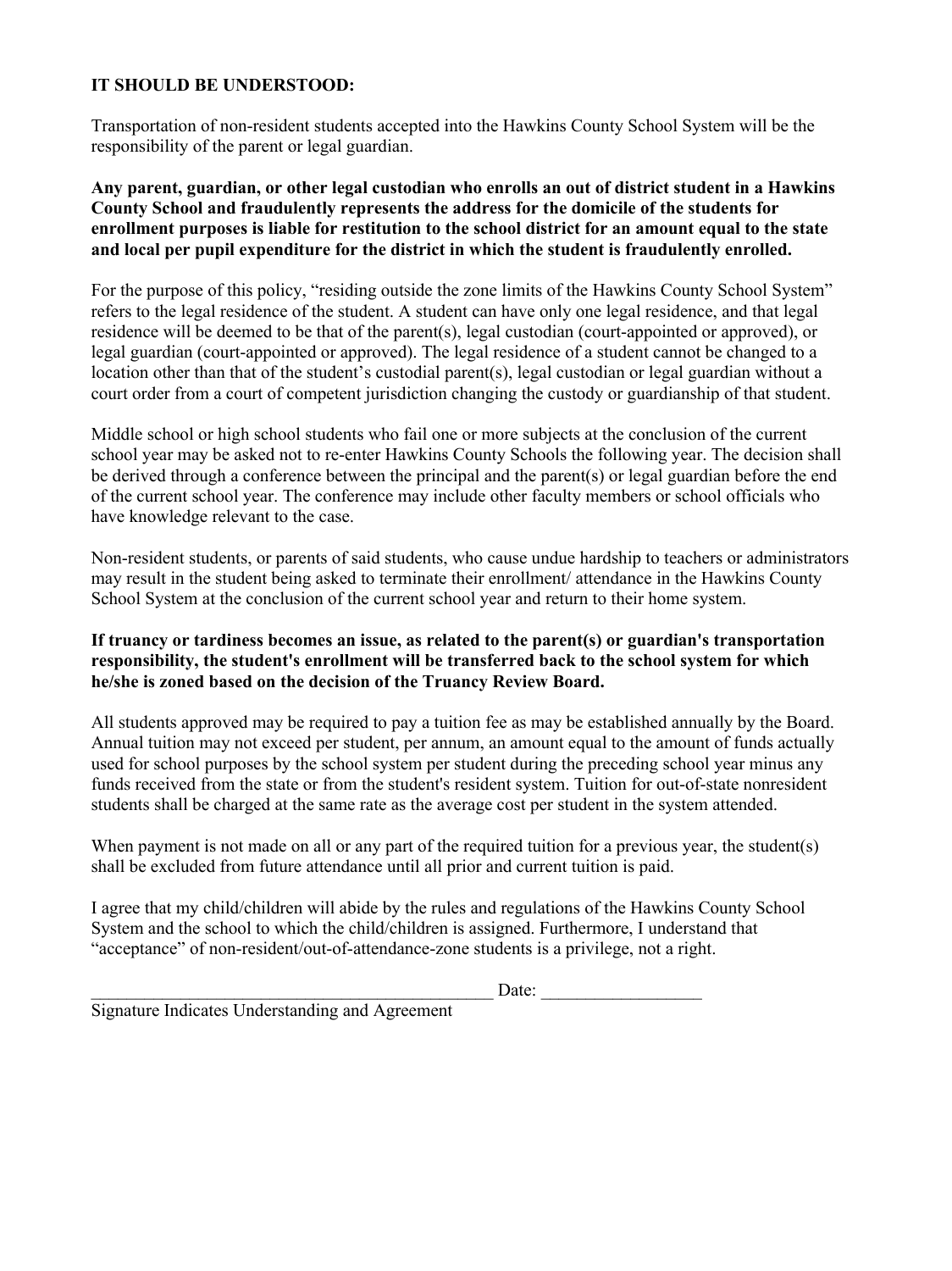### **IT SHOULD BE UNDERSTOOD:**

Transportation of non-resident students accepted into the Hawkins County School System will be the responsibility of the parent or legal guardian.

**Any parent, guardian, or other legal custodian who enrolls an out of district student in a Hawkins County School and fraudulently represents the address for the domicile of the students for enrollment purposes is liable for restitution to the school district for an amount equal to the state and local per pupil expenditure for the district in which the student is fraudulently enrolled.** 

For the purpose of this policy, "residing outside the zone limits of the Hawkins County School System" refers to the legal residence of the student. A student can have only one legal residence, and that legal residence will be deemed to be that of the parent(s), legal custodian (court-appointed or approved), or legal guardian (court-appointed or approved). The legal residence of a student cannot be changed to a location other than that of the student's custodial parent(s), legal custodian or legal guardian without a court order from a court of competent jurisdiction changing the custody or guardianship of that student.

Middle school or high school students who fail one or more subjects at the conclusion of the current school year may be asked not to re-enter Hawkins County Schools the following year. The decision shall be derived through a conference between the principal and the parent(s) or legal guardian before the end of the current school year. The conference may include other faculty members or school officials who have knowledge relevant to the case.

Non-resident students, or parents of said students, who cause undue hardship to teachers or administrators may result in the student being asked to terminate their enrollment/ attendance in the Hawkins County School System at the conclusion of the current school year and return to their home system.

#### **If truancy or tardiness becomes an issue, as related to the parent(s) or guardian's transportation responsibility, the student's enrollment will be transferred back to the school system for which he/she is zoned based on the decision of the Truancy Review Board.**

All students approved may be required to pay a tuition fee as may be established annually by the Board. Annual tuition may not exceed per student, per annum, an amount equal to the amount of funds actually used for school purposes by the school system per student during the preceding school year minus any funds received from the state or from the student's resident system. Tuition for out-of-state nonresident students shall be charged at the same rate as the average cost per student in the system attended.

When payment is not made on all or any part of the required tuition for a previous year, the student(s) shall be excluded from future attendance until all prior and current tuition is paid.

I agree that my child/children will abide by the rules and regulations of the Hawkins County School System and the school to which the child/children is assigned. Furthermore, I understand that "acceptance" of non-resident/out-of-attendance-zone students is a privilege, not a right.

| ---- |
|------|
|------|

Signature Indicates Understanding and Agreement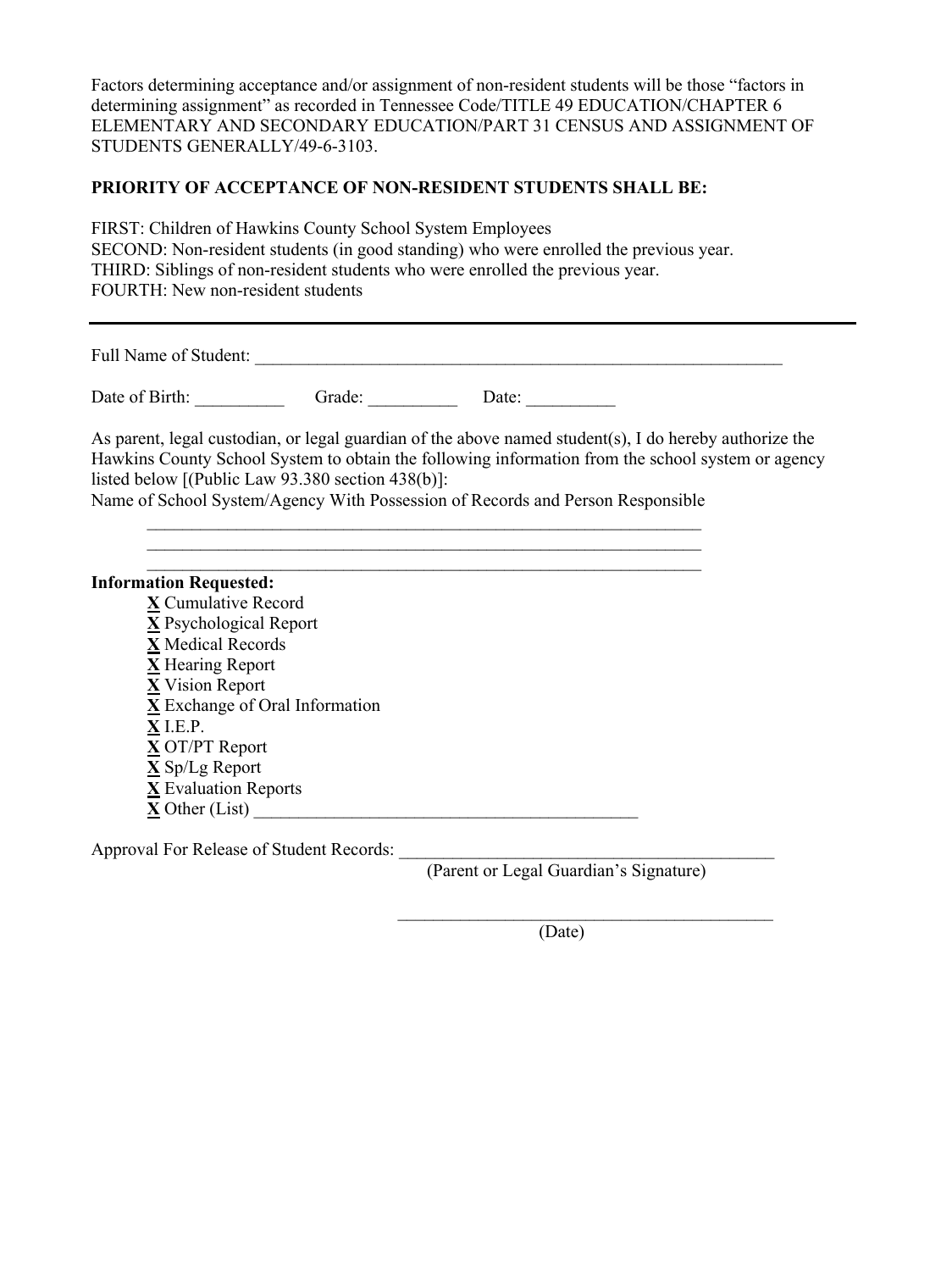Factors determining acceptance and/or assignment of non-resident students will be those "factors in determining assignment" as recorded in Tennessee Code/TITLE 49 EDUCATION/CHAPTER 6 ELEMENTARY AND SECONDARY EDUCATION/PART 31 CENSUS AND ASSIGNMENT OF STUDENTS GENERALLY/49-6-3103.

#### **PRIORITY OF ACCEPTANCE OF NON-RESIDENT STUDENTS SHALL BE:**

FIRST: Children of Hawkins County School System Employees SECOND: Non-resident students (in good standing) who were enrolled the previous year. THIRD: Siblings of non-resident students who were enrolled the previous year. FOURTH: New non-resident students

Full Name of Student:

Date of Birth: Grade: Grade: Date:

As parent, legal custodian, or legal guardian of the above named student(s), I do hereby authorize the Hawkins County School System to obtain the following information from the school system or agency listed below [(Public Law 93.380 section 438(b)]:

Name of School System/Agency With Possession of Records and Person Responsible

 $\mathcal{L}_\text{max}$  and the contract of the contract of the contract of the contract of the contract of the contract of  $\mathcal{L}_\text{max}$  and the contract of the contract of the contract of the contract of the contract of the contract of  $\mathcal{L}_\text{max}$  and the contract of the contract of the contract of the contract of the contract of the contract of

| <b>Information Requested:</b>               |  |
|---------------------------------------------|--|
| X Cumulative Record                         |  |
| <b>X</b> Psychological Report               |  |
| <b>X</b> Medical Records                    |  |
| $\underline{\mathbf{X}}$ Hearing Report     |  |
| $\underline{\mathbf{X}}$ Vision Report      |  |
| X Exchange of Oral Information              |  |
| $X$ I.E.P.                                  |  |
| $\underline{\mathbf{X}}$ OT/PT Report       |  |
| $\underline{X}$ Sp/Lg Report                |  |
| $\underline{\mathbf{X}}$ Evaluation Reports |  |
| $\underline{\mathbf{X}}$ Other (List)       |  |

Approval For Release of Student Records: \_\_\_\_\_\_\_\_\_\_\_\_\_\_\_\_\_\_\_\_\_\_\_\_\_\_\_\_\_\_\_\_\_\_\_\_\_\_\_\_\_\_

(Parent or Legal Guardian's Signature)

 $\mathcal{L}_\text{max}$  and the contract of the contract of the contract of the contract of the contract of the contract of the contract of the contract of the contract of the contract of the contract of the contract of the contrac

(Date)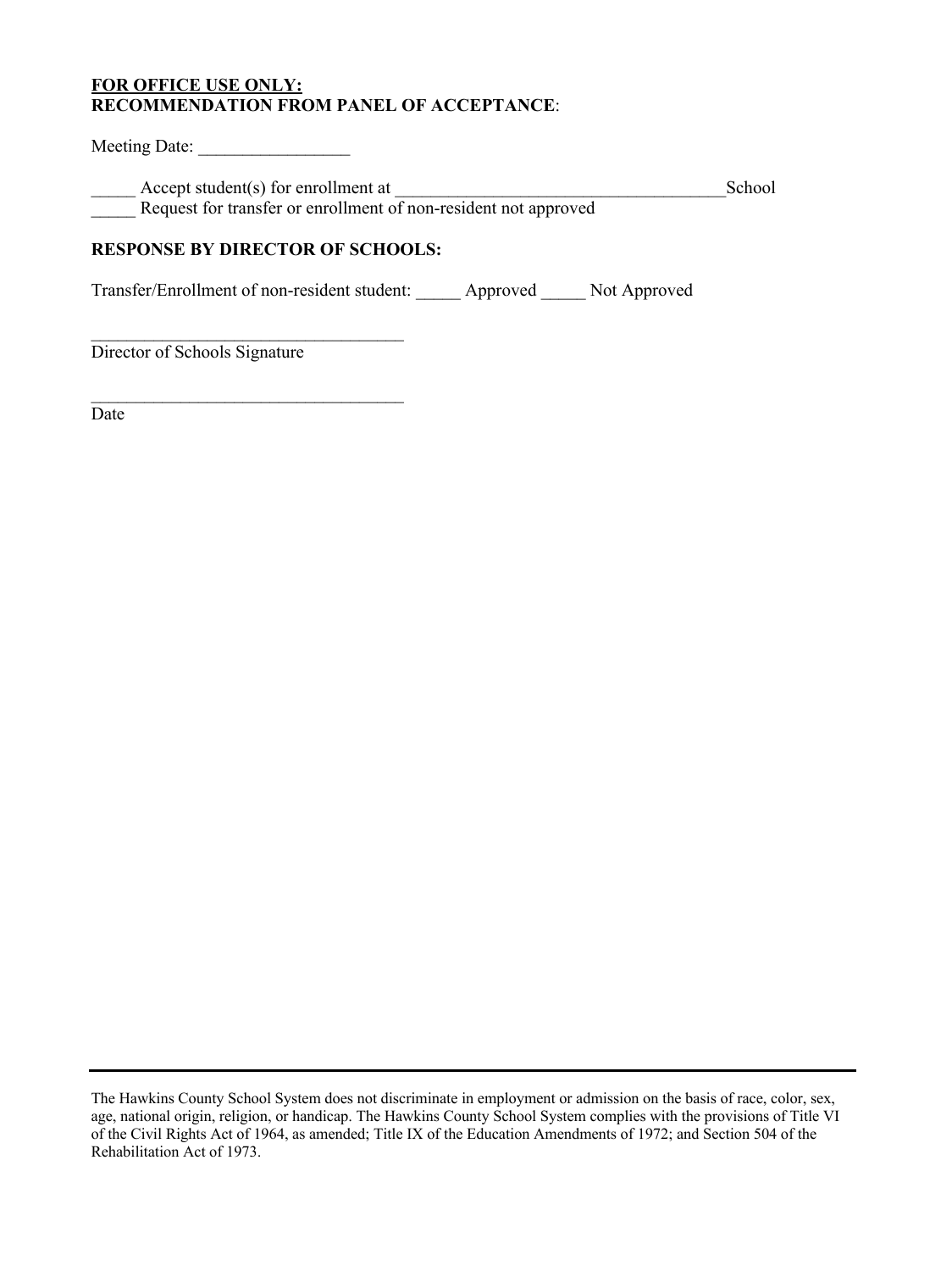#### **FOR OFFICE USE ONLY: RECOMMENDATION FROM PANEL OF ACCEPTANCE**:

Meeting Date: \_\_\_\_\_\_\_\_\_\_\_\_\_\_\_\_\_

Accept student(s) for enrollment at  $\Box$ Request for transfer or enrollment of non-resident not approved

## **RESPONSE BY DIRECTOR OF SCHOOLS:**

 $\mathcal{L}_\text{max}$ 

 $\mathcal{L}_\text{max}$  , and the set of the set of the set of the set of the set of the set of the set of the set of the set of the set of the set of the set of the set of the set of the set of the set of the set of the set of the

Transfer/Enrollment of non-resident student: \_\_\_\_\_ Approved \_\_\_\_\_ Not Approved

Director of Schools Signature

Date

The Hawkins County School System does not discriminate in employment or admission on the basis of race, color, sex, age, national origin, religion, or handicap. The Hawkins County School System complies with the provisions of Title VI of the Civil Rights Act of 1964, as amended; Title IX of the Education Amendments of 1972; and Section 504 of the Rehabilitation Act of 1973.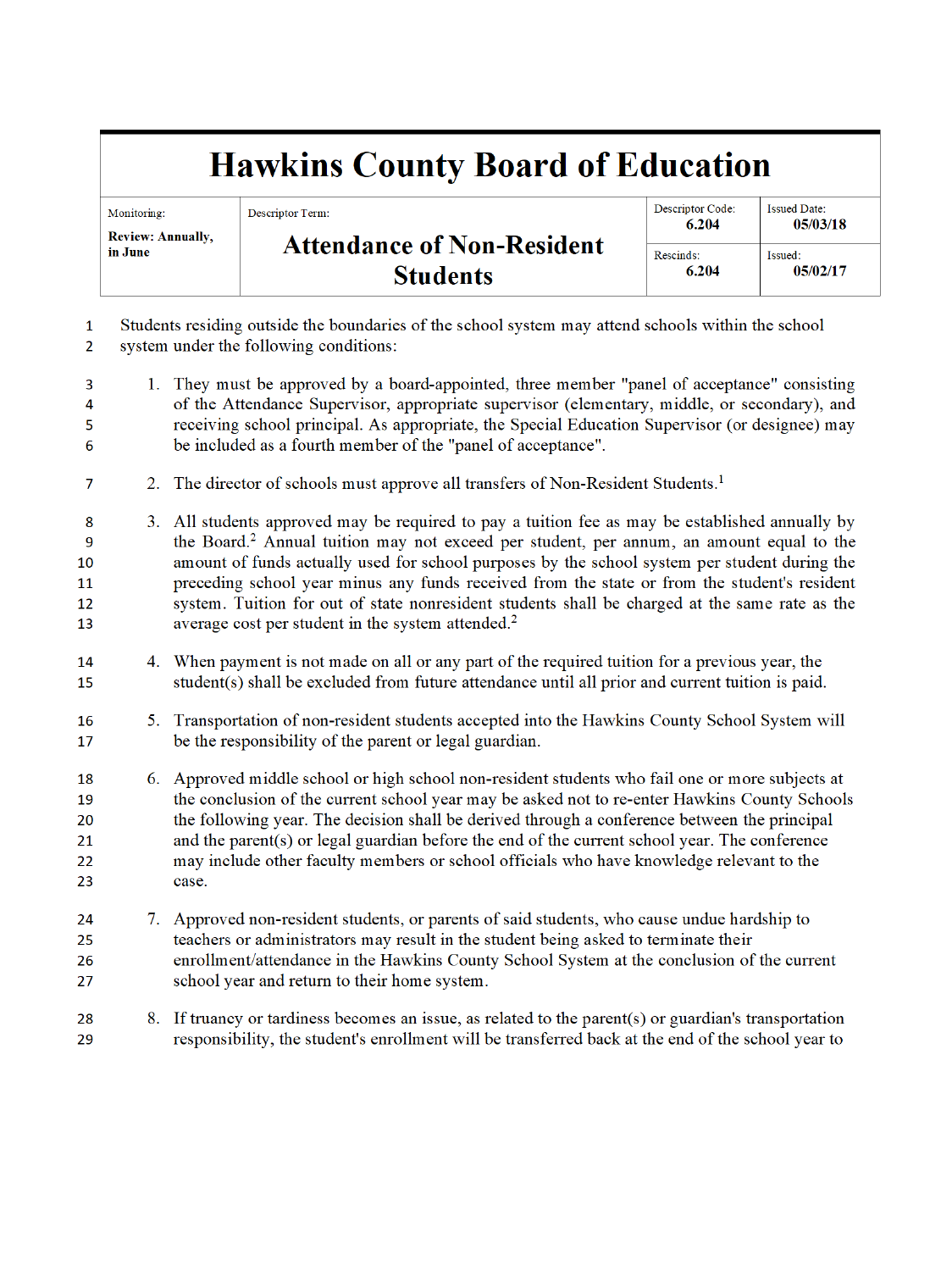# **Hawkins County Board of Education**

| Monitoring:                         | Descriptor Term:                  | Descriptor Code:<br>6.204 | <b>Issued Date:</b><br>05/03/18 |
|-------------------------------------|-----------------------------------|---------------------------|---------------------------------|
| <b>Review: Annually,</b><br>in June | <b>Attendance of Non-Resident</b> | Rescinds:                 | Issued:                         |
|                                     | <b>Students</b>                   | 6.204                     | 05/02/17                        |

Students residing outside the boundaries of the school system may attend schools within the school  $\mathbf{1}$ system under the following conditions:  $\overline{2}$ 

- 1. They must be approved by a board-appointed, three member "panel of acceptance" consisting  $\overline{3}$ of the Attendance Supervisor, appropriate supervisor (elementary, middle, or secondary), and  $\overline{A}$ receiving school principal. As appropriate, the Special Education Supervisor (or designee) may 5 be included as a fourth member of the "panel of acceptance". 6
- 2. The director of schools must approve all transfers of Non-Resident Students.<sup>1</sup>  $\overline{7}$
- 3. All students approved may be required to pay a tuition fee as may be established annually by 8 the Board.<sup>2</sup> Annual tuition may not exceed per student, per annum, an amount equal to the  $\overline{9}$ amount of funds actually used for school purposes by the school system per student during the 10 preceding school year minus any funds received from the state or from the student's resident  $11$ system. Tuition for out of state nonresident students shall be charged at the same rate as the  $12$ average cost per student in the system attended.<sup>2</sup>  $13$
- 4. When payment is not made on all or any part of the required tuition for a previous year, the 14 student(s) shall be excluded from future attendance until all prior and current tuition is paid. 15
- 5. Transportation of non-resident students accepted into the Hawkins County School System will 16 be the responsibility of the parent or legal guardian. 17
- 6. Approved middle school or high school non-resident students who fail one or more subjects at 18 the conclusion of the current school year may be asked not to re-enter Hawkins County Schools 19 the following year. The decision shall be derived through a conference between the principal 20  $21$ and the parent(s) or legal guardian before the end of the current school year. The conference may include other faculty members or school officials who have knowledge relevant to the 22 23 case.
- 24 7. Approved non-resident students, or parents of said students, who cause undue hardship to teachers or administrators may result in the student being asked to terminate their 25 enrollment/attendance in the Hawkins County School System at the conclusion of the current 26 school year and return to their home system.  $27$
- 8. If truancy or tardiness becomes an issue, as related to the parent(s) or guardian's transportation 28 responsibility, the student's enrollment will be transferred back at the end of the school year to 29